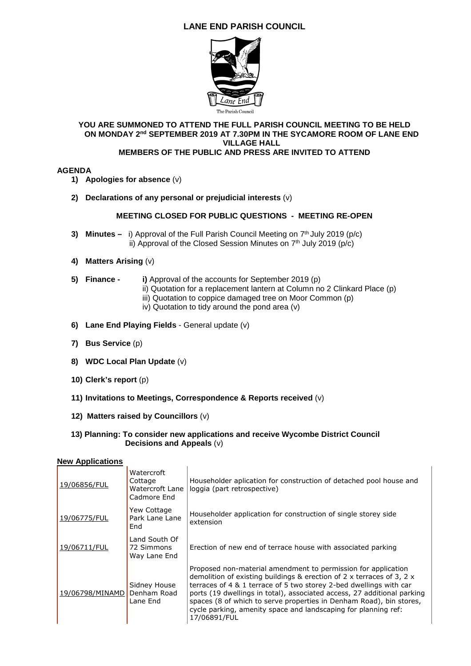# **LANE END PARISH COUNCIL**



#### **YOU ARE SUMMONED TO ATTEND THE FULL PARISH COUNCIL MEETING TO BE HELD ON MONDAY 2nd SEPTEMBER 2019 AT 7.30PM IN THE SYCAMORE ROOM OF LANE END VILLAGE HALL MEMBERS OF THE PUBLIC AND PRESS ARE INVITED TO ATTEND**

## **AGENDA**

- **1) Apologies for absence** (v)
- **2) Declarations of any personal or prejudicial interests** (v)

## **MEETING CLOSED FOR PUBLIC QUESTIONS - MEETING RE-OPEN**

- **3) Minutes** i) Approval of the Full Parish Council Meeting on 7<sup>th</sup> July 2019 (p/c) ii) Approval of the Closed Session Minutes on  $7<sup>th</sup>$  July 2019 (p/c)
- **4) Matters Arising** (v)
- **5) Finance i)** Approval of the accounts for September 2019 (p)
	- ii) Quotation for a replacement lantern at Column no 2 Clinkard Place (p)
	- iii) Quotation to coppice damaged tree on Moor Common (p)
	- iv) Quotation to tidy around the pond area (v)
- **6) Lane End Playing Fields** General update (v)
- **7) Bus Service** (p)
- **8) WDC Local Plan Update** (v)
- **10) Clerk's report** (p)
- **11) Invitations to Meetings, Correspondence & Reports received** (v)
- **12) Matters raised by Councillors** (v)
- **13) Planning: To consider new applications and receive Wycombe District Council Decisions and Appeals** (v)

#### **New Applications**

| 19/06856/FUL    | Watercroft<br>Cottage<br>Watercroft Lane<br>Cadmore End | Householder aplication for construction of detached pool house and<br>loggia (part retrospective)                                                                                                                                                                                                                                                                                                                                                       |
|-----------------|---------------------------------------------------------|---------------------------------------------------------------------------------------------------------------------------------------------------------------------------------------------------------------------------------------------------------------------------------------------------------------------------------------------------------------------------------------------------------------------------------------------------------|
| 19/06775/FUL    | Yew Cottage<br>Park Lane Lane<br>End                    | Householder application for construction of single storey side<br>extension                                                                                                                                                                                                                                                                                                                                                                             |
| 19/06711/FUL    | Land South Of<br>72 Simmons<br>Way Lane End             | Erection of new end of terrace house with associated parking                                                                                                                                                                                                                                                                                                                                                                                            |
| 19/06798/MINAMD | Sidney House<br>Denham Road<br>Lane End                 | Proposed non-material amendment to permission for application<br>demolition of existing buildings & erection of 2 x terraces of 3, 2 $\times$<br>terraces of 4 & 1 terrace of 5 two storey 2-bed dwellings with car<br>ports (19 dwellings in total), associated access, 27 additional parking<br>spaces (8 of which to serve properties in Denham Road), bin stores,<br>cycle parking, amenity space and landscaping for planning ref:<br>17/06891/FUL |